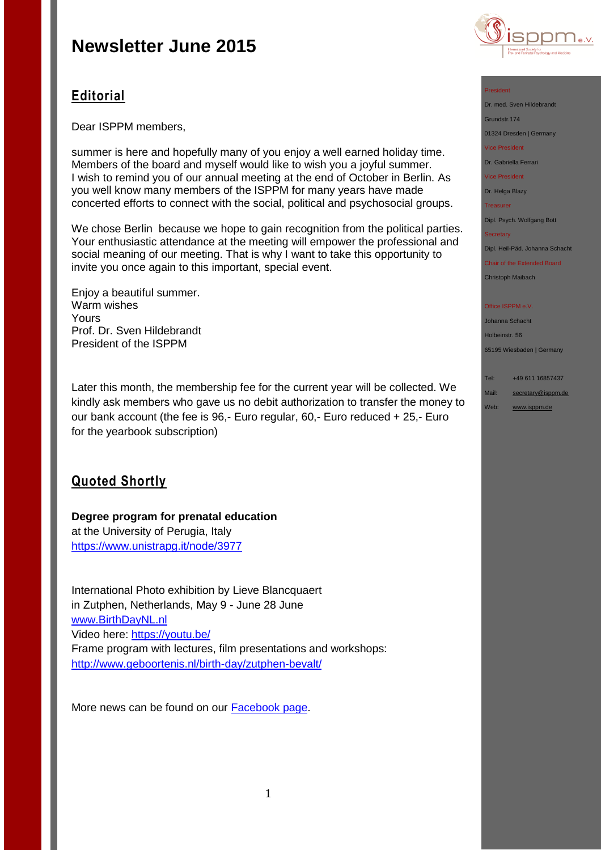

# **Editorial**

Dear ISPPM members,

summer is here and hopefully many of you enjoy a well earned holiday time. Members of the board and myself would like to wish you a joyful summer. I wish to remind you of our annual meeting at the end of October in Berlin. As you well know many members of the ISPPM for many years have made concerted efforts to connect with the social, political and psychosocial groups.

We chose Berlin because we hope to gain recognition from the political parties. Your enthusiastic attendance at the meeting will empower the professional and social meaning of our meeting. That is why I want to take this opportunity to invite you once again to this important, special event.

Enjoy a beautiful summer. Warm wishes Yours Prof. Dr. Sven Hildebrandt President of the ISPPM

Later this month, the membership fee for the current year will be collected. We kindly ask members who gave us no debit authorization to transfer the money to our bank account (the fee is 96,- Euro regular, 60,- Euro reduced + 25,- Euro for the yearbook subscription)

# **Quoted Shortly**

## **Degree program for prenatal education**  at the University of Perugia, Italy <https://www.unistrapg.it/node/3977>

International Photo exhibition by Lieve Blancquaert in Zutphen, Netherlands, May 9 - June 28 June [www.BirthDayNL.nl](http://www.birthdaynl.nl/) Video here: [https://youtu.be/](https://youtu.be/_KbUFeM-YRE?list=PLCMOecaBDoGyjbLhZHngMbqA3orn4w6sL) Frame program with lectures, film presentations and workshops: <http://www.geboortenis.nl/birth-day/zutphen-bevalt/>

More news can be found on our **Facebook page**.

#### President

Dr. med. Sven Hildebrandt

Grundstr.174 01324 Dresden | Germany

Vice President

Dr. Gabriella Ferrari

Vice President

Dr. Helga Blazy

Treasurer

Dipl. Psych. Wolfgang Bott

#### **Secretary**

Dipl. Heil-Päd. Johanna Schacht

Chair of the Extended Board Christoph Maibach

#### Office ISPPM e.V

Johanna Schacht Holbeinstr. 56 65195 Wiesbaden | Germany

#### Tel: +49 611 16857437

Mail: [secretary@isppm.de](mailto:secretary@isppm.de)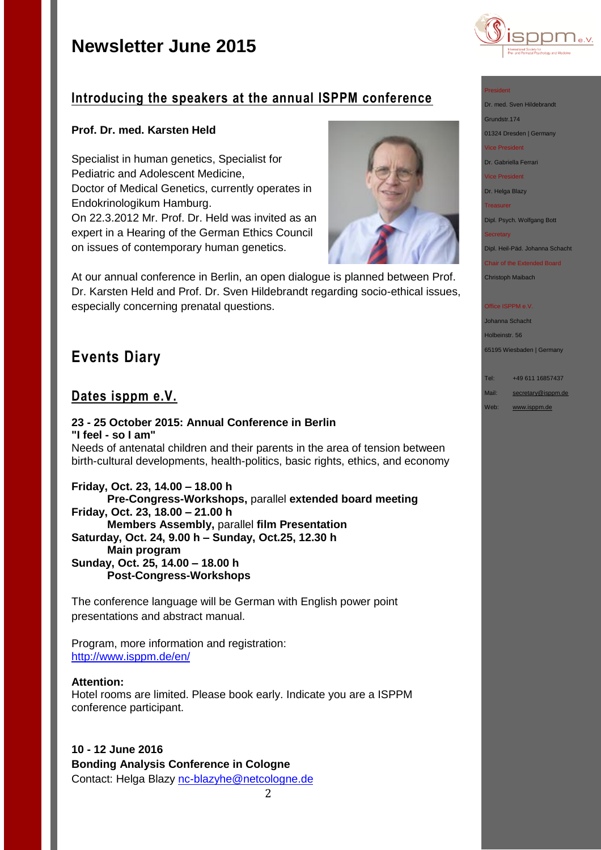

## **Introducing the speakers at the annual ISPPM conference**

## **Prof. Dr. med. Karsten Held**

Specialist in human genetics, Specialist for Pediatric and Adolescent Medicine, Doctor of Medical Genetics, currently operates in Endokrinologikum Hamburg. On 22.3.2012 Mr. Prof. Dr. Held was invited as an expert in a Hearing of the German Ethics Council on issues of contemporary human genetics.



At our annual conference in Berlin, an open dialogue is planned between Prof. Dr. Karsten Held and Prof. Dr. Sven Hildebrandt regarding socio-ethical issues, especially concerning prenatal questions.

# **Events Diary**

## **Dates isppm e.V.**

### **23 - 25 October 2015: Annual Conference in Berlin "I feel - so I am"** Needs of antenatal children and their parents in the area of tension between birth-cultural developments, health-politics, basic rights, ethics, and economy

**Friday, Oct. 23, 14.00 – 18.00 h Pre-Congress-Workshops,** parallel **extended board meeting Friday, Oct. 23, 18.00 – 21.00 h Members Assembly,** parallel **film Presentation Saturday, Oct. 24, 9.00 h – Sunday, Oct.25, 12.30 h Main program Sunday, Oct. 25, 14.00 – 18.00 h Post-Congress-Workshops**

The conference language will be German with English power point presentations and abstract manual.

Program, more information and registration: <http://www.isppm.de/en/>

### **Attention:**

Hotel rooms are limited. Please book early. Indicate you are a ISPPM conference participant.

**10 - 12 June 2016 Bonding Analysis Conference in Cologne** Contact: Helga Blazy [nc-blazyhe@netcologne.de](mailto:nc-blazyhe@netcologne.de)

2



- Grundstr.174
- 01324 Dresden | Germany
- Vice President
- Dr. Gabriella Ferrari
- Vice President
- 
- Dr. Helga Blazy Treasurer

Dipl. Psych. Wolfgang Bott

**Secretary** 

Dipl. Heil-Päd. Johanna Schacht

Chair of the Extended Board

Christoph Maibach

#### **Office ISPPM e.V**

Johanna Schacht Holbeinstr. 56 65195 Wiesbaden | Germany

Tel: +49 611 16857437 Mail: [secretary@isppm.de](mailto:secretary@isppm.de)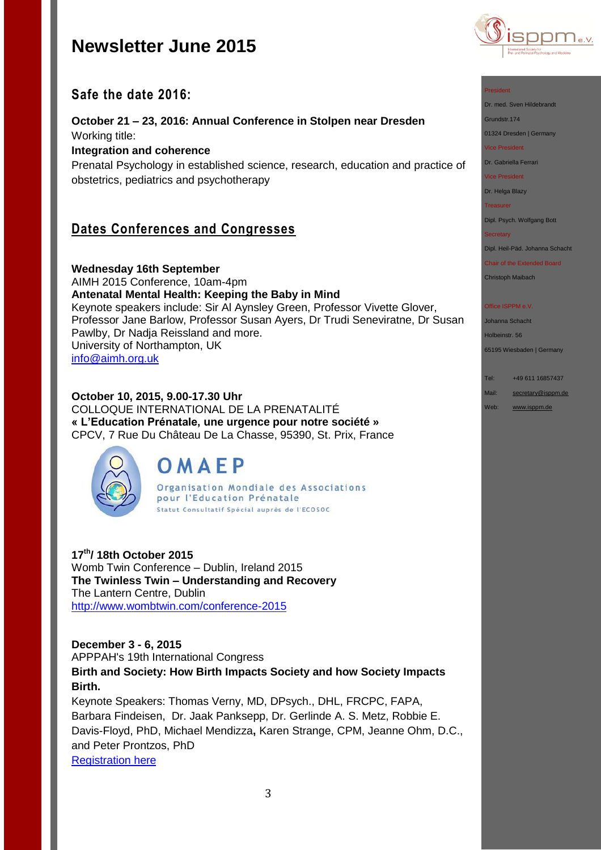

## **Safe the date 2016:**

**October 21 – 23, 2016: Annual Conference in Stolpen near Dresden** Working title: **Integration and coherence**

Prenatal Psychology in established science, research, education and practice of obstetrics, pediatrics and psychotherapy

# **Dates Conferences and Congresses**

**Wednesday 16th September** AIMH 2015 Conference, 10am-4pm **Antenatal Mental Health: Keeping the Baby in Mind** Keynote speakers include: Sir Al Aynsley Green, Professor Vivette Glover, Professor Jane Barlow, Professor Susan Ayers, Dr Trudi Seneviratne, Dr Susan Pawlby, Dr Nadja Reissland and more. University of Northampton, UK [info@aimh.org.uk](mailto:info@aimh.org.uk)

## **October 10, 2015, 9.00-17.30 Uhr**

COLLOQUE INTERNATIONAL DE LA PRENATALITÉ **« L'Education Prénatale, une urgence pour notre société »** CPCV, 7 Rue Du Château De La Chasse, 95390, St. Prix, France



# OMAEP

Organisation Mondiale des Associations pour l'Education Prénatale Statut Consultatif Spécial auprès de l'ECOSOC

**17th/ 18th October 2015** Womb Twin Conference – Dublin, Ireland 2015 **The Twinless Twin – Understanding and Recovery**  The Lantern Centre, Dublin [http://www.wombtwin.com/conference-2015](http://www.wombtwin.com/conference-2015/4588428837?utm_source=Womb+Twin+newsletter&utm_campaign=f7c2af81ac-Newsletter+May+2015+2015&utm_medium=email&utm_term=0_189851c605-f7c2af81ac-421063393)

## **December 3 - 6, 2015**

APPPAH's 19th International Congress

**Birth and Society: How Birth Impacts Society and how Society Impacts Birth.**

Keynote Speakers: Thomas Verny, MD, DPsych., DHL, FRCPC, FAPA, Barbara Findeisen, Dr. Jaak Panksepp, Dr. Gerlinde A. S. Metz, Robbie E. Davis-Floyd, PhD, Michael Mendizza**,** Karen Strange, CPM, Jeanne Ohm, D.C., and Peter Prontzos, PhD [Registration here](http://r20.rs6.net/tn.jsp?f=001ow1wkvozei_88VPX53sV2VFa_ZuxEIVEKa01uLsN1mbdQzyyQdhs_FXedW1fhcbR0cAnBWKAa58XC3PwfiugTa1u-MPUS6Vonsz2fJNfQoB35pjIsF_7lD1CN_qw8TKu7v5JAd5plpwt_sJH1Yde9EazKKjwqyMJ21kbRBK73s3eVNH4L1EyhKr9FAjjkUSl1fgyAKzNeZsbRxoBWUe7j8en6Y0oQ_VI&c=LWshyrIfwgT0SZxQf9pomHGUyyn_Wvxtp2RWpyiRrhc-6I_2N51Iww==&ch=fzqAY8gzqrfAbvVlvh6O_uf6Y0uhLqpZVtR_fAmpQsLRiSXUV-TJkQ==)

#### President

Dr. med. Sven Hildebrandt

Grundstr.174

01324 Dresden | Germany

Vice President

Dr. Gabriella Ferrari

Vice President

Dr. Helga Blazy

Treasurer

Dipl. Psych. Wolfgang Bott

**Secretary** 

Dipl. Heil-Päd. Johanna Schacht

Chair of the Extended Board Christoph Maibach

#### Office ISPPM e.V

Johanna Schacht Holbeinstr. 56 65195 Wiesbaden | Germany

Tel: +49 611 16857437 Mail: [secretary@isppm.de](mailto:secretary@isppm.de)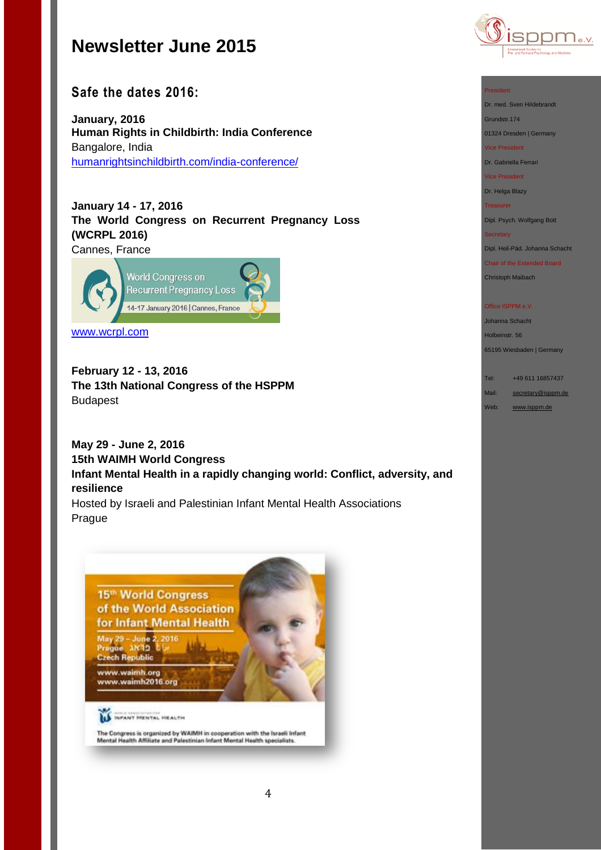

## **Safe the dates 2016:**

**January, 2016 Human Rights in Childbirth: India Conference** Bangalore, India [humanrightsinchildbirth.com/india-conference/](http://humanrightsinchildbirth.com/india-conference/)

**January 14 - 17, 2016 The World Congress on Recurrent Pregnancy Loss (WCRPL 2016)** Cannes, France



[www.wcrpl.com](http://www.wcrpl.com/)

**February 12 - 13, 2016 The 13th National Congress of the HSPPM**  Budapest

**May 29 - June 2, 2016 15th WAIMH World Congress Infant Mental Health in a rapidly changing world: Conflict, adversity, and resilience**

Hosted by Israeli and Palestinian Infant Mental Health Associations Prague



The Congress is organized by WAIMH in cooperation with the luraeli Infant<br>Mental Health Affiliate and Palestinian Infant Mental Health specialists.

#### President

Dr. med. Sven Hildebrandt Grundstr.174

01324 Dresden | Germany

Vice President

Dr. Gabriella Ferrari

Vice President

Dr. Helga Blazy

Treasurer

Dipl. Psych. Wolfgang Bott

#### Secretary

Dipl. Heil-Päd. Johanna Schacht

Chair of the Extended Board

Christoph Maibach

#### Office ISPPM e.V.

Johanna Schacht Holbeinstr. 56

65195 Wiesbaden | Germany

Tel: +49 611 16857437

Mail: [secretary@isppm.de](mailto:secretary@isppm.de)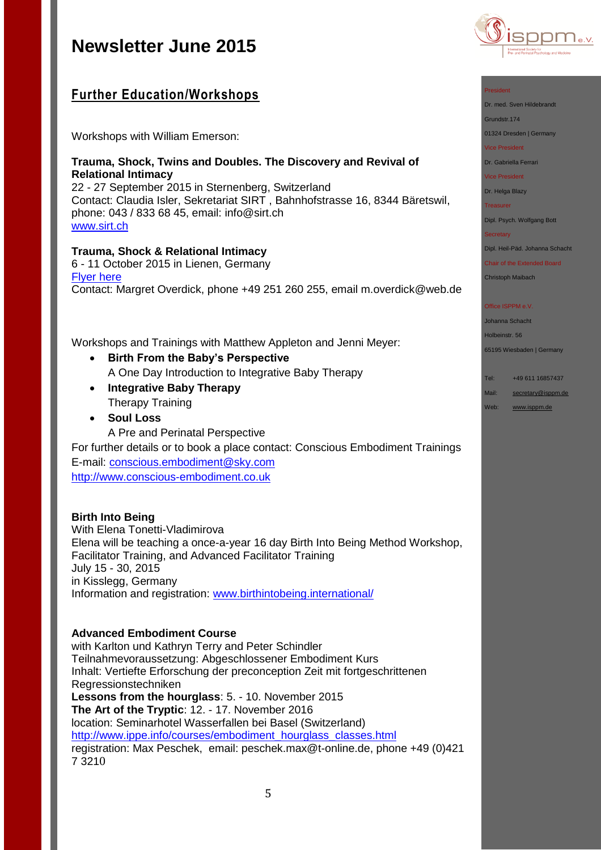# **Further Education/Workshops**

Workshops with William Emerson:

## **Trauma, Shock, Twins and Doubles. The Discovery and Revival of Relational Intimacy**

22 - 27 September 2015 in Sternenberg, Switzerland Contact: Claudia Isler, Sekretariat SIRT , Bahnhofstrasse 16, 8344 Bäretswil, phone: 043 / 833 68 45, email: [info@sirt.ch](mailto:info@sirt.ch) [www.sirt.ch](http://www.sirt.ch/)

## **Trauma, Shock & Relational Intimacy**

6 - 11 October 2015 in Lienen, Germany [Flyer here](http://www.isppm.de/en/wp-content/uploads/2014/04/Emerson_Workshop_engl.pdf) Contact: Margret Overdick, phone +49 251 260 255, email [m.overdick@web.de](mailto:m.overdick@web.de)

Workshops and Trainings with Matthew Appleton and Jenni Meyer:

- **Birth From the Baby's Perspective** A One Day Introduction to Integrative Baby Therapy
- **Integrative Baby Therapy** Therapy Training
- **Soul Loss**
	- A Pre and Perinatal Perspective

For further details or to book a place contact: Conscious Embodiment Trainings E-mail: [conscious.embodiment@sky.com](file:///C:/Users/hanna/Desktop/conscious.embodiment@sky.com) [http://www.conscious-embodiment.co.uk](http://www.conscious-embodiment.co.uk/)

## **Birth Into Being**

With Elena Tonetti-Vladimirova Elena will be teaching a once-a-year 16 day Birth Into Being Method Workshop, Facilitator Training, and Advanced Facilitator Training July 15 - 30, 2015 in Kisslegg, Germany Information and registration: [www.birthintobeing.international/](http://www.birthintobeing.international/)

## **Advanced Embodiment Course**

with Karlton und Kathryn Terry and Peter Schindler Teilnahmevoraussetzung: Abgeschlossener Embodiment Kurs Inhalt: Vertiefte Erforschung der preconception Zeit mit fortgeschrittenen Regressionstechniken **Lessons from the hourglass**: 5. - 10. November 2015 **The Art of the Tryptic**: 12. - 17. November 2016 location: Seminarhotel Wasserfallen bei Basel (Switzerland) http://www.ippe.info/courses/embodiment\_hourglass\_classes.html registration: Max Peschek, email: [peschek.max@t-online.de,](mailto:peschek.max@t-online.de) phone +49 (0)421 7 3210



#### President

Dr. med. Sven Hildebrandt

Grundstr.174

01324 Dresden | Germany

Vice President

Dr. Gabriella Ferrari

Vice President

Dr. Helga Blazy

Treasurer

Dipl. Psych. Wolfgang Bott

**Secretary** 

Dipl. Heil-Päd. Johanna Schacht

Chair of the Extended Board Christoph Maibach

## Office ISPPM e.V

Johanna Schacht Holbeinstr. 56

65195 Wiesbaden | Germany

Tel: +49 611 16857437

- Mail: [secretary@isppm.de](mailto:secretary@isppm.de)
- Web: [www.isppm.de](http://www.isppm.de/)